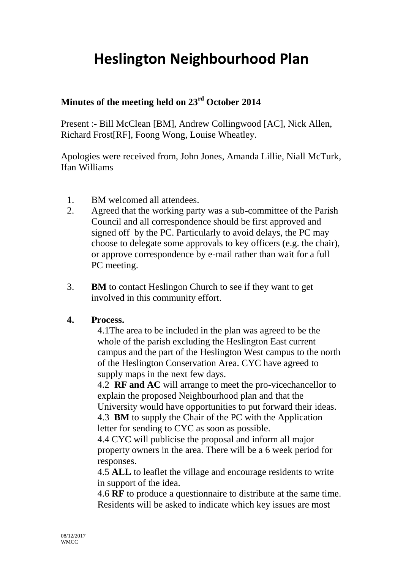## **Heslington Neighbourhood Plan**

## **Minutes of the meeting held on 23rd October 2014**

Present :- Bill McClean [BM], Andrew Collingwood [AC], Nick Allen, Richard Frost[RF], Foong Wong, Louise Wheatley.

Apologies were received from, John Jones, Amanda Lillie, Niall McTurk, Ifan Williams

- 1. BM welcomed all attendees.
- 2. Agreed that the working party was a sub-committee of the Parish Council and all correspondence should be first approved and signed off by the PC. Particularly to avoid delays, the PC may choose to delegate some approvals to key officers (e.g. the chair), or approve correspondence by e-mail rather than wait for a full PC meeting.
- 3. **BM** to contact Heslingon Church to see if they want to get involved in this community effort.

## **4. Process.**

4.1The area to be included in the plan was agreed to be the whole of the parish excluding the Heslington East current campus and the part of the Heslington West campus to the north of the Heslington Conservation Area. CYC have agreed to supply maps in the next few days.

4.2 **RF and AC** will arrange to meet the pro-vicechancellor to explain the proposed Neighbourhood plan and that the University would have opportunities to put forward their ideas. 4.3 **BM** to supply the Chair of the PC with the Application letter for sending to CYC as soon as possible.

4.4 CYC will publicise the proposal and inform all major property owners in the area. There will be a 6 week period for responses.

4.5 **ALL** to leaflet the village and encourage residents to write in support of the idea.

4.6 **RF** to produce a questionnaire to distribute at the same time. Residents will be asked to indicate which key issues are most